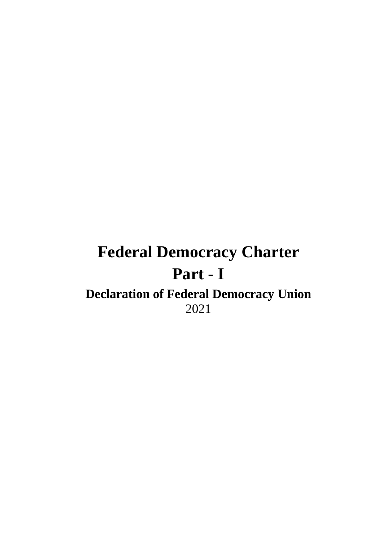# **Federal Democracy Charter Part - I**

# **Declaration of Federal Democracy Union** 2021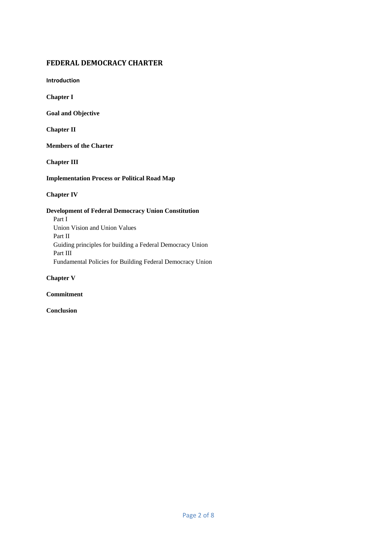# **[FEDERAL DEMOCRACY CHARTER](#page-2-0)**

**[Introduction](#page-2-1)**

**[Chapter I](#page-2-2)**

**[Goal and Objective](#page-2-3)**

**[Chapter II](#page-2-4)**

**[Members of the Charter](#page-2-5)**

**[Chapter III](#page-2-6)**

**[Implementation Process or Political Road Map](#page-2-7)**

#### **[Chapter IV](#page-3-0)**

#### **[Development of Federal Democracy Union Constitution](#page-3-1)**

[Part I](#page-3-2) [Union Vision and Union Values](#page-3-3) [Part II](#page-3-4) [Guiding principles for building a Federal Democracy Union](#page-3-5) [Part III](#page-3-6) [Fundamental Policies for Building Federal Democracy Union](#page-3-7)

**[Chapter V](#page-6-0)**

**[Commitment](#page-6-1)**

**[Conclusion](#page-7-0)**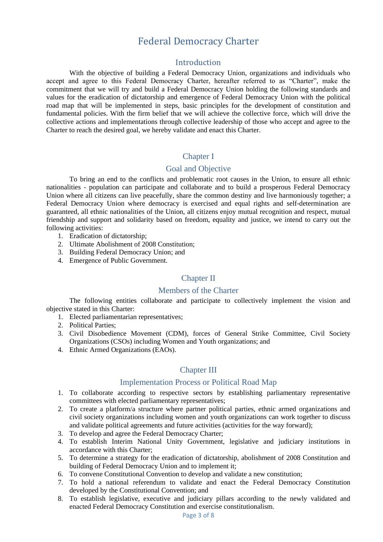# Federal Democracy Charter

# **Introduction**

<span id="page-2-1"></span><span id="page-2-0"></span>With the objective of building a Federal Democracy Union, organizations and individuals who accept and agree to this Federal Democracy Charter, hereafter referred to as "Charter", make the commitment that we will try and build a Federal Democracy Union holding the following standards and values for the eradication of dictatorship and emergence of Federal Democracy Union with the political road map that will be implemented in steps, basic principles for the development of constitution and fundamental policies. With the firm belief that we will achieve the collective force, which will drive the collective actions and implementations through collective leadership of those who accept and agree to the Charter to reach the desired goal, we hereby validate and enact this Charter.

## Chapter I

# Goal and Objective

<span id="page-2-3"></span><span id="page-2-2"></span>To bring an end to the conflicts and problematic root causes in the Union, to ensure all ethnic nationalities - population can participate and collaborate and to build a prosperous Federal Democracy Union where all citizens can live peacefully, share the common destiny and live harmoniously together; a Federal Democracy Union where democracy is exercised and equal rights and self-determination are guaranteed, all ethnic nationalities of the Union, all citizens enjoy mutual recognition and respect, mutual friendship and support and solidarity based on freedom, equality and justice, we intend to carry out the following activities:

- 1. Eradication of dictatorship;
- 2. Ultimate Abolishment of 2008 Constitution;
- 3. Building Federal Democracy Union; and
- <span id="page-2-4"></span>4. Emergence of Public Government.

# Chapter II

### Members of the Charter

<span id="page-2-5"></span>The following entities collaborate and participate to collectively implement the vision and objective stated in this Charter:

- 1. Elected parliamentarian representatives;
- 2. Political Parties;
- 3. Civil Disobedience Movement (CDM), forces of General Strike Committee, Civil Society Organizations (CSOs) including Women and Youth organizations; and
- <span id="page-2-6"></span>4. Ethnic Armed Organizations (EAOs).

# Chapter III

#### Implementation Process or Political Road Map

- <span id="page-2-7"></span>1. To collaborate according to respective sectors by establishing parliamentary representative committees with elected parliamentary representatives;
- 2. To create a platform/a structure where partner political parties, ethnic armed organizations and civil society organizations including women and youth organizations can work together to discuss and validate political agreements and future activities (activities for the way forward);
- 3. To develop and agree the Federal Democracy Charter;
- 4. To establish Interim National Unity Government, legislative and judiciary institutions in accordance with this Charter;
- 5. To determine a strategy for the eradication of dictatorship, abolishment of 2008 Constitution and building of Federal Democracy Union and to implement it;
- 6. To convene Constitutional Convention to develop and validate a new constitution;
- 7. To hold a national referendum to validate and enact the Federal Democracy Constitution developed by the Constitutional Convention; and
- 8. To establish legislative, executive and judiciary pillars according to the newly validated and enacted Federal Democracy Constitution and exercise constitutionalism.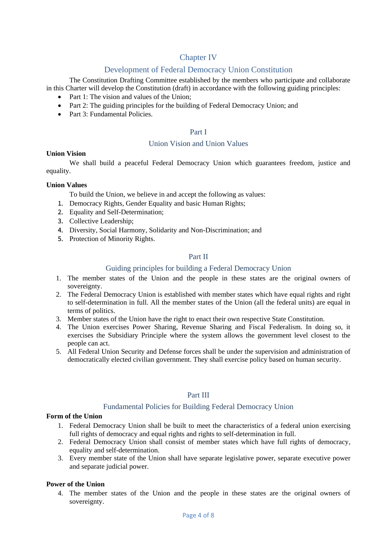# Chapter IV

# Development of Federal Democracy Union Constitution

<span id="page-3-1"></span><span id="page-3-0"></span>The Constitution Drafting Committee established by the members who participate and collaborate in this Charter will develop the Constitution (draft) in accordance with the following guiding principles:

- Part 1: The vision and values of the Union;
- Part 2: The guiding principles for the building of Federal Democracy Union; and
- <span id="page-3-2"></span>• Part 3: Fundamental Policies.

#### Part I

#### Union Vision and Union Values

#### <span id="page-3-3"></span>**Union Vision**

We shall build a peaceful Federal Democracy Union which guarantees freedom, justice and equality.

#### **Union Values**

To build the Union, we believe in and accept the following as values:

- 1. Democracy Rights, Gender Equality and basic Human Rights;
- 2. Equality and Self-Determination;
- 3. Collective Leadership;
- 4. Diversity, Social Harmony, Solidarity and Non-Discrimination; and
- <span id="page-3-4"></span>5. Protection of Minority Rights.

#### Part II

#### Guiding principles for building a Federal Democracy Union

- <span id="page-3-5"></span>1. The member states of the Union and the people in these states are the original owners of sovereignty.
- 2. The Federal Democracy Union is established with member states which have equal rights and right to self-determination in full. All the member states of the Union (all the federal units) are equal in terms of politics.
- 3. Member states of the Union have the right to enact their own respective State Constitution.
- 4. The Union exercises Power Sharing, Revenue Sharing and Fiscal Federalism. In doing so, it exercises the Subsidiary Principle where the system allows the government level closest to the people can act.
- 5. All Federal Union Security and Defense forces shall be under the supervision and administration of democratically elected civilian government. They shall exercise policy based on human security.

#### Part III

#### Fundamental Policies for Building Federal Democracy Union

#### <span id="page-3-7"></span><span id="page-3-6"></span>**Form of the Union**

- 1. Federal Democracy Union shall be built to meet the characteristics of a federal union exercising full rights of democracy and equal rights and rights to self-determination in full.
- 2. Federal Democracy Union shall consist of member states which have full rights of democracy, equality and self-determination.
- 3. Every member state of the Union shall have separate legislative power, separate executive power and separate judicial power.

#### **Power of the Union**

4. The member states of the Union and the people in these states are the original owners of sovereignty.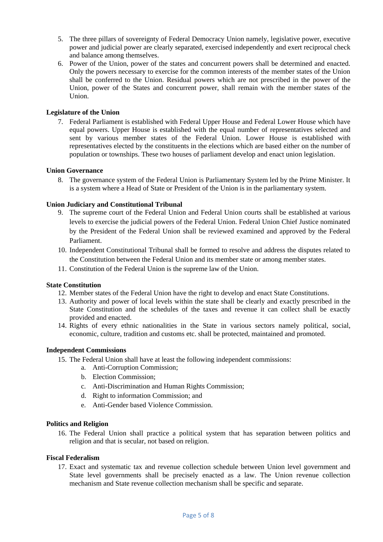- 5. The three pillars of sovereignty of Federal Democracy Union namely, legislative power, executive power and judicial power are clearly separated, exercised independently and exert reciprocal check and balance among themselves.
- 6. Power of the Union, power of the states and concurrent powers shall be determined and enacted. Only the powers necessary to exercise for the common interests of the member states of the Union shall be conferred to the Union. Residual powers which are not prescribed in the power of the Union, power of the States and concurrent power, shall remain with the member states of the Union.

## **Legislature of the Union**

7. Federal Parliament is established with Federal Upper House and Federal Lower House which have equal powers. Upper House is established with the equal number of representatives selected and sent by various member states of the Federal Union. Lower House is established with representatives elected by the constituents in the elections which are based either on the number of population or townships. These two houses of parliament develop and enact union legislation.

#### **Union Governance**

8. The governance system of the Federal Union is Parliamentary System led by the Prime Minister. It is a system where a Head of State or President of the Union is in the parliamentary system.

#### **Union Judiciary and Constitutional Tribunal**

- 9. The supreme court of the Federal Union and Federal Union courts shall be established at various levels to exercise the judicial powers of the Federal Union. Federal Union Chief Justice nominated by the President of the Federal Union shall be reviewed examined and approved by the Federal Parliament.
- 10. Independent Constitutional Tribunal shall be formed to resolve and address the disputes related to the Constitution between the Federal Union and its member state or among member states.
- 11. Constitution of the Federal Union is the supreme law of the Union.

#### **State Constitution**

- 12. Member states of the Federal Union have the right to develop and enact State Constitutions.
- 13. Authority and power of local levels within the state shall be clearly and exactly prescribed in the State Constitution and the schedules of the taxes and revenue it can collect shall be exactly provided and enacted.
- 14. Rights of every ethnic nationalities in the State in various sectors namely political, social, economic, culture, tradition and customs etc. shall be protected, maintained and promoted.

#### **Independent Commissions**

- 15. The Federal Union shall have at least the following independent commissions:
	- a. Anti-Corruption Commission;
	- b. Election Commission;
	- c. Anti-Discrimination and Human Rights Commission;
	- d. Right to information Commission; and
	- e. Anti-Gender based Violence Commission.

#### **Politics and Religion**

16. The Federal Union shall practice a political system that has separation between politics and religion and that is secular, not based on religion.

#### **Fiscal Federalism**

17. Exact and systematic tax and revenue collection schedule between Union level government and State level governments shall be precisely enacted as a law. The Union revenue collection mechanism and State revenue collection mechanism shall be specific and separate.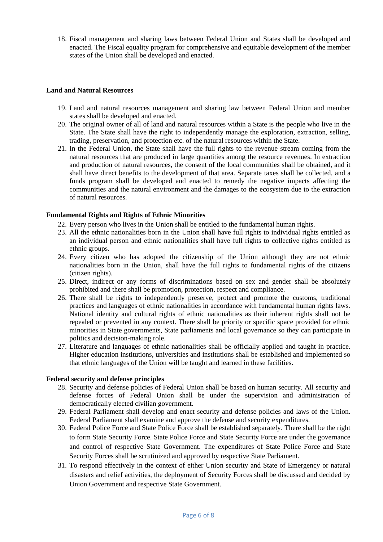18. Fiscal management and sharing laws between Federal Union and States shall be developed and enacted. The Fiscal equality program for comprehensive and equitable development of the member states of the Union shall be developed and enacted.

#### **Land and Natural Resources**

- 19. Land and natural resources management and sharing law between Federal Union and member states shall be developed and enacted.
- 20. The original owner of all of land and natural resources within a State is the people who live in the State. The State shall have the right to independently manage the exploration, extraction, selling, trading, preservation, and protection etc. of the natural resources within the State.
- 21. In the Federal Union, the State shall have the full rights to the revenue stream coming from the natural resources that are produced in large quantities among the resource revenues. In extraction and production of natural resources, the consent of the local communities shall be obtained, and it shall have direct benefits to the development of that area. Separate taxes shall be collected, and a funds program shall be developed and enacted to remedy the negative impacts affecting the communities and the natural environment and the damages to the ecosystem due to the extraction of natural resources.

#### **Fundamental Rights and Rights of Ethnic Minorities**

- 22. Every person who lives in the Union shall be entitled to the fundamental human rights.
- 23. All the ethnic nationalities born in the Union shall have full rights to individual rights entitled as an individual person and ethnic nationalities shall have full rights to collective rights entitled as ethnic groups.
- 24. Every citizen who has adopted the citizenship of the Union although they are not ethnic nationalities born in the Union, shall have the full rights to fundamental rights of the citizens (citizen rights).
- 25. Direct, indirect or any forms of discriminations based on sex and gender shall be absolutely prohibited and there shall be promotion, protection, respect and compliance.
- 26. There shall be rights to independently preserve, protect and promote the customs, traditional practices and languages of ethnic nationalities in accordance with fundamental human rights laws. National identity and cultural rights of ethnic nationalities as their inherent rights shall not be repealed or prevented in any context. There shall be priority or specific space provided for ethnic minorities in State governments, State parliaments and local governance so they can participate in politics and decision-making role.
- 27. Literature and languages of ethnic nationalities shall be officially applied and taught in practice. Higher education institutions, universities and institutions shall be established and implemented so that ethnic languages of the Union will be taught and learned in these facilities.

#### **Federal security and defense principles**

- 28. Security and defense policies of Federal Union shall be based on human security. All security and defense forces of Federal Union shall be under the supervision and administration of democratically elected civilian government.
- 29. Federal Parliament shall develop and enact security and defense policies and laws of the Union. Federal Parliament shall examine and approve the defense and security expenditures.
- 30. Federal Police Force and State Police Force shall be established separately. There shall be the right to form State Security Force. State Police Force and State Security Force are under the governance and control of respective State Government. The expenditures of State Police Force and State Security Forces shall be scrutinized and approved by respective State Parliament.
- 31. To respond effectively in the context of either Union security and State of Emergency or natural disasters and relief activities, the deployment of Security Forces shall be discussed and decided by Union Government and respective State Government.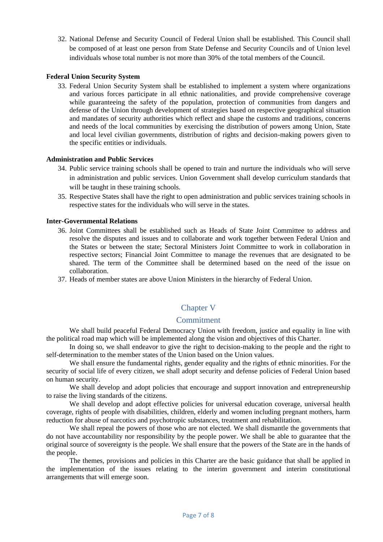32. National Defense and Security Council of Federal Union shall be established. This Council shall be composed of at least one person from State Defense and Security Councils and of Union level individuals whose total number is not more than 30% of the total members of the Council.

#### **Federal Union Security System**

33. Federal Union Security System shall be established to implement a system where organizations and various forces participate in all ethnic nationalities, and provide comprehensive coverage while guaranteeing the safety of the population, protection of communities from dangers and defense of the Union through development of strategies based on respective geographical situation and mandates of security authorities which reflect and shape the customs and traditions, concerns and needs of the local communities by exercising the distribution of powers among Union, State and local level civilian governments, distribution of rights and decision-making powers given to the specific entities or individuals.

#### **Administration and Public Services**

- 34. Public service training schools shall be opened to train and nurture the individuals who will serve in administration and public services. Union Government shall develop curriculum standards that will be taught in these training schools.
- 35. Respective States shall have the right to open administration and public services training schools in respective states for the individuals who will serve in the states.

#### **Inter-Governmental Relations**

- 36. Joint Committees shall be established such as Heads of State Joint Committee to address and resolve the disputes and issues and to collaborate and work together between Federal Union and the States or between the state; Sectoral Ministers Joint Committee to work in collaboration in respective sectors; Financial Joint Committee to manage the revenues that are designated to be shared. The term of the Committee shall be determined based on the need of the issue on collaboration.
- 37. Heads of member states are above Union Ministers in the hierarchy of Federal Union.

# Chapter V

### **Commitment**

<span id="page-6-1"></span><span id="page-6-0"></span>We shall build peaceful Federal Democracy Union with freedom, justice and equality in line with the political road map which will be implemented along the vision and objectives of this Charter.

In doing so, we shall endeavor to give the right to decision-making to the people and the right to self-determination to the member states of the Union based on the Union values.

We shall ensure the fundamental rights, gender equality and the rights of ethnic minorities. For the security of social life of every citizen, we shall adopt security and defense policies of Federal Union based on human security.

We shall develop and adopt policies that encourage and support innovation and entrepreneurship to raise the living standards of the citizens.

We shall develop and adopt effective policies for universal education coverage, universal health coverage, rights of people with disabilities, children, elderly and women including pregnant mothers, harm reduction for abuse of narcotics and psychotropic substances, treatment and rehabilitation.

We shall repeal the powers of those who are not elected. We shall dismantle the governments that do not have accountability nor responsibility by the people power. We shall be able to guarantee that the original source of sovereignty is the people. We shall ensure that the powers of the State are in the hands of the people.

The themes, provisions and policies in this Charter are the basic guidance that shall be applied in the implementation of the issues relating to the interim government and interim constitutional arrangements that will emerge soon.